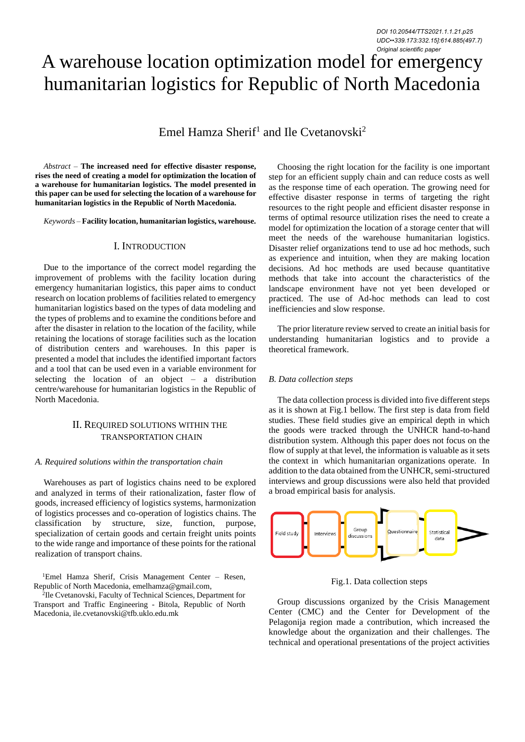# A warehouse location optimization model for emergency humanitarian logistics for Republic of North Macedonia

Emel Hamza Sherif<sup>1</sup> and Ile Cvetanovski<sup>2</sup>

*Abstract –* **The increased need for effective disaster response, rises the need of creating a model for optimization the location of a warehouse for humanitarian logistics. The model presented in this paper can be used for selecting the location of a warehouse for humanitarian logistics in the Republic of North Macedonia.**

*Keywords –* **Facility location, humanitarian logistics, warehouse.**

## I. INTRODUCTION

Due to the importance of the correct model regarding the improvement of problems with the facility location during emergency humanitarian logistics, this paper aims to conduct research on location problems of facilities related to emergency humanitarian logistics based on the types of data modeling and the types of problems and to examine the conditions before and after the disaster in relation to the location of the facility, while retaining the locations of storage facilities such as the location of distribution centers and warehouses. In this paper is presented a model that includes the identified important factors and a tool that can be used even in a variable environment for selecting the location of an object – a distribution centre/warehouse for humanitarian logistics in the Republic of North Macedonia.

## II. REQUIRED SOLUTIONS WITHIN THE TRANSPORTATION CHAIN

#### *A. Required solutions within the transportation chain*

Warehouses as part of logistics chains need to be explored and analyzed in terms of their rationalization, faster flow of goods, increased efficiency of logistics systems, harmonization of logistics processes and co-operation of logistics chains. The classification by structure, size, function, purpose, specialization of certain goods and certain freight units points to the wide range and importance of these points for the rational realization of transport chains.

<sup>1</sup>Emel Hamza Sherif, Crisis Management Center – Resen, Republic of North Macedonia, emelhamza@gmail.com,

2 Ile Cvetanovski, Faculty of Technical Sciences, Department for Transport and Traffic Engineering - Bitola, Republic of North Macedonia, ile.cvetanovski@tfb.uklo.edu.mk

Choosing the right location for the facility is one important step for an efficient supply chain and can reduce costs as well as the response time of each operation. The growing need for effective disaster response in terms of targeting the right resources to the right people and efficient disaster response in terms of optimal resource utilization rises the need to create a model for optimization the location of a storage center that will meet the needs of the warehouse humanitarian logistics. Disaster relief organizations tend to use ad hoc methods, such as experience and intuition, when they are making location decisions. Ad hoc methods are used because quantitative methods that take into account the characteristics of the landscape environment have not yet been developed or practiced. The use of Ad-hoc methods can lead to cost inefficiencies and slow response.

The prior literature review served to create an initial basis for understanding humanitarian logistics and to provide a theoretical framework.

#### *B. Data collection steps*

The data collection process is divided into five different steps as it is shown at Fig.1 bellow. The first step is data from field studies. These field studies give an empirical depth in which the goods were tracked through the UNHCR hand-to-hand distribution system. Although this paper does not focus on the flow of supply at that level, the information is valuable as it sets the context in which humanitarian organizations operate. In addition to the data obtained from the UNHCR, semi-structured interviews and group discussions were also held that provided a broad empirical basis for analysis.



Fig.1. Data collection steps

Group discussions organized by the Crisis Management Center (CMC) and the Center for Development of the Pelagonija region made a contribution, which increased the knowledge about the organization and their challenges. The technical and operational presentations of the project activities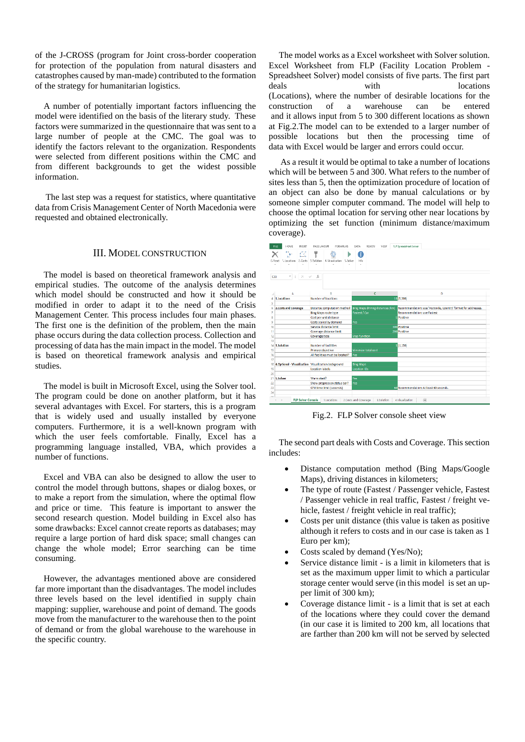of the J-CROSS (program for Joint cross-border cooperation for protection of the population from natural disasters and catastrophes caused by man-made) contributed to the formation of the strategy for humanitarian logistics.

A number of potentially important factors influencing the model were identified on the basis of the literary study. These factors were summarized in the questionnaire that was sent to a large number of people at the CMC. The goal was to identify the factors relevant to the organization. Respondents were selected from different positions within the CMC and from different backgrounds to get the widest possible information.

The last step was a request for statistics, where quantitative data from Crisis Management Center of North Macedonia were requested and obtained electronically.

### III. MODEL CONSTRUCTION

The model is based on theoretical framework analysis and empirical studies. The outcome of the analysis determines which model should be constructed and how it should be modified in order to adapt it to the need of the Crisis Management Center. This process includes four main phases. The first one is the definition of the problem, then the main phase occurs during the data collection process. Collection and processing of data has the main impact in the model. The model is based on theoretical framework analysis and empirical studies.

The model is built in Microsoft Excel, using the Solver tool. The program could be done on another platform, but it has several advantages with Excel. For starters, this is a program that is widely used and usually installed by everyone computers. Furthermore, it is a well-known program with which the user feels comfortable. Finally, Excel has a programming language installed, VBA, which provides a number of functions.

Excel and VBA can also be designed to allow the user to control the model through buttons, shapes or dialog boxes, or to make a report from the simulation, where the optimal flow and price or time. This feature is important to answer the second research question. Model building in Excel also has some drawbacks: Excel cannot create reports as databases; may require a large portion of hard disk space; small changes can change the whole model; Error searching can be time consuming.

However, the advantages mentioned above are considered far more important than the disadvantages. The model includes three levels based on the level identified in supply chain mapping: supplier, warehouse and point of demand. The goods move from the manufacturer to the warehouse then to the point of demand or from the global warehouse to the warehouse in the specific country.

The model works as a Excel worksheet with Solver solution. Excel Worksheet from FLP (Facility Location Problem - Spreadsheet Solver) model consists of five parts. The first part deals with locations (Locations), where the number of desirable locations for the construction of a warehouse can be entered and it allows input from 5 to 300 different locations as shown at Fig.2.The model can to be extended to a larger number of possible locations but then the processing time of data with Excel would be larger and errors could occur.

As a result it would be optimal to take a number of locations which will be between 5 and 300. What refers to the number of sites less than 5, then the optimization procedure of location of an object can also be done by manual calculations or by someone simpler computer command. The model will help to choose the optimal location for serving other near locations by optimizing the set function (minimum distance/maximum coverage).



Fig.2. FLP Solver console sheet view

The second part deals with Costs and Coverage. This section includes:

- Distance computation method (Bing Maps/Google Maps), driving distances in kilometers;
- The type of route (Fastest / Passenger vehicle, Fastest / Passenger vehicle in real traffic, Fastest / freight vehicle, fastest / freight vehicle in real traffic);
- Costs per unit distance (this value is taken as positive although it refers to costs and in our case is taken as 1 Euro per km);
- Costs scaled by demand (Yes/No);
- Service distance limit is a limit in kilometers that is set as the maximum upper limit to which a particular storage center would serve (in this model is set an upper limit of 300 km);
- Coverage distance limit is a limit that is set at each of the locations where they could cover the demand (in our case it is limited to 200 km, all locations that are farther than 200 km will not be served by selected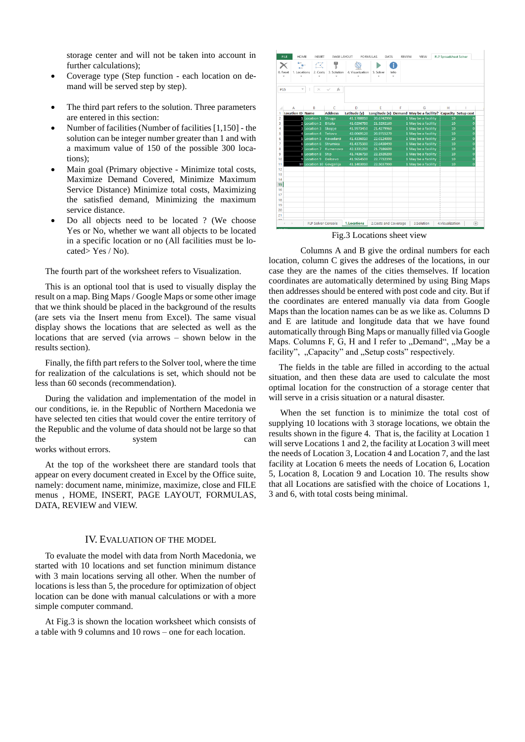storage center and will not be taken into account in further calculations);

- Coverage type (Step function each location on demand will be served step by step).
- The third part refers to the solution. Three parameters are entered in this section:
- Number of facilities (Number of facilities [1,150] the solution can be integer number greater than 1 and with a maximum value of 150 of the possible 300 locations);
- Main goal (Primary objective Minimize total costs, Maximize Demand Covered, Minimize Maximum Service Distance) Minimize total costs, Maximizing the satisfied demand, Minimizing the maximum service distance.
- Do all objects need to be located ? (We choose Yes or No, whether we want all objects to be located in a specific location or no (All facilities must be located> Yes / No).

The fourth part of the worksheet refers to Visualization.

This is an optional tool that is used to visually display the result on a map. Bing Maps / Google Maps or some other image that we think should be placed in the background of the results (are sets via the Insert menu from Excel). The same visual display shows the locations that are selected as well as the locations that are served (via arrows – shown below in the results section).

Finally, the fifth part refers to the Solver tool, where the time for realization of the calculations is set, which should not be less than 60 seconds (recommendation).

During the validation and implementation of the model in our conditions, ie. in the Republic of Northern Macedonia we have selected ten cities that would cover the entire territory of the Republic and the volume of data should not be large so that the system can works without errors.

At the top of the worksheet there are standard tools that appear on every document created in Excel by the Office suite, namely: document name, minimize, maximize, close and FILE menus , HOME, INSERT, PAGE LAYOUT, FORMULAS, DATA, REVIEW and VIEW.

### IV. EVALUATION OF THE MODEL

To evaluate the model with data from North Macedonia, we started with 10 locations and set function minimum distance with 3 main locations serving all other. When the number of locations is less than 5, the procedure for optimization of object location can be done with manual calculations or with a more simple computer command.

At Fig.3 is shown the location worksheet which consists of a table with 9 columns and 10 rows – one for each location.



Fig.3 Locations sheet view

Columns A and B give the ordinal numbers for each location, column C gives the addreses of the locations, in our case they are the names of the cities themselves. If location coordinates are automatically determined by using Bing Maps then addresses should be entered with post code and city. But if the coordinates are entered manually via data from Google Maps than the location names can be as we like as. Columns D and E are latitude and longitude data that we have found automatically through Bing Maps or manually filled via Google Maps. Columns F, G, H and I refer to "Demand", "May be a facility", "Capacity" and "Setup costs" respectively.

The fields in the table are filled in according to the actual situation, and then these data are used to calculate the most optimal location for the construction of a storage center that will serve in a crisis situation or a natural disaster.

When the set function is to minimize the total cost of supplying 10 locations with 3 storage locations, we obtain the results shown in the figure 4. That is, the facility at Location 1 will serve Locations 1 and 2, the facility at Location 3 will meet the needs of Location 3, Location 4 and Location 7, and the last facility at Location 6 meets the needs of Location 6, Location 5, Location 8, Location 9 and Location 10. The results show that all Locations are satisfied with the choice of Locations 1, 3 and 6, with total costs being minimal.